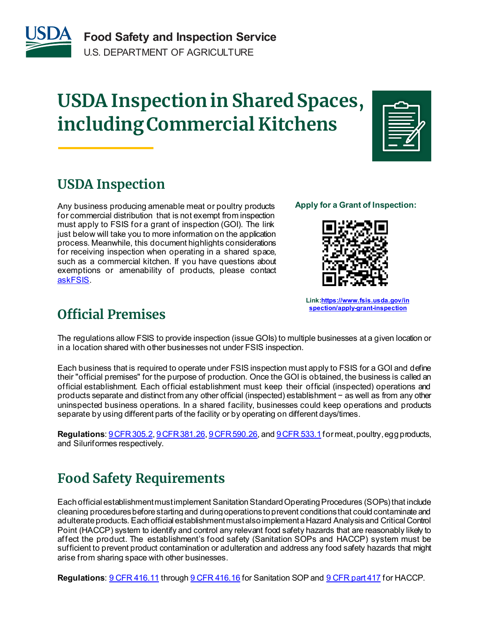

# **USDA Inspectionin Shared Spaces, including Commercial Kitchens**



# **USDA Inspection**

Any business producing amenable meat or poultry products for commercial distribution that is not exempt from inspection must apply to FSIS for a grant of inspection (GOI). The link just below will take you to more information on the application process. Meanwhile, this document highlights considerations for receiving inspection when operating in a shared space, such as a commercial kitchen. If you have questions about exemptions or amenability of products, please contact [askFSIS](https://www.fsis.usda.gov/contact-us/askfsis).

#### **Apply for a Grant of Inspection:**



**Link[:https://www.fsis.usda.gov/in](https://www.fsis.usda.gov/inspection/apply-grant-inspection) [spection/apply-grant-inspection](https://www.fsis.usda.gov/inspection/apply-grant-inspection)**

### **Official Premises**

The regulations allow FSIS to provide inspection (issue GOIs) to multiple businesses at a given location or in a location shared with other businesses not under FSIS inspection.

Each business that is required to operate under FSIS inspection must apply to FSIS for a GOI and define their "official premises" for the purpose of production. Once the GOI is obtained, the business is called an official establishment. Each official establishment must keep their official (inspected) operations and products separate and distinct from any other official (inspected) establishment − as well as from any other uninspected business operations. In a shared facility, businesses could keep operations and products separate by using different parts of the facility or by operating on different days/times.

**Regulations**[: 9 CFR 305.2](https://www.govinfo.gov/content/pkg/CFR-2021-title9-vol2/xml/CFR-2021-title9-vol2-sec305-2.xml)[, 9 CFR 381.26,](https://www.govinfo.gov/content/pkg/CFR-2021-title9-vol2/xml/CFR-2021-title9-vol2-sec381-26.xml) [9 CFR 590.26,](https://www.govinfo.gov/content/pkg/CFR-2021-title9-vol2/xml/CFR-2021-title9-vol2-sec590-26.xml) an[d 9 CFR 533.1](https://www.govinfo.gov/content/pkg/CFR-2021-title9-vol2/xml/CFR-2021-title9-vol2-sec533-1.xml)for meat, poultry, egg products, and Siluriformes respectively.

# **Food Safety Requirements**

Each official establishment must implement Sanitation Standard Operating Procedures (SOPs) that include cleaning procedures before starting and during operations to prevent conditions that could contaminate and adulterate products. Each official establishment must also implement a Hazard Analysis and Critical Control Point (HACCP) system to identify and control any relevant food safety hazards that are reasonably likely to affect the product. The establishment's food safety (Sanitation SOPs and HACCP) system must be sufficient to prevent product contamination or adulteration and address any food safety hazards that might arise from sharing space with other businesses.

**Regulations**[: 9 CFR 416.11](https://www.govinfo.gov/content/pkg/CFR-2021-title9-vol2/xml/CFR-2021-title9-vol2-sec416-11.xml) throug[h 9 CFR 416.16](https://www.govinfo.gov/content/pkg/CFR-2021-title9-vol2/xml/CFR-2021-title9-vol2-sec416-16.xml) for Sanitation SOP an[d 9 CFR part 417](https://www.govinfo.gov/content/pkg/CFR-2021-title9-vol2/xml/CFR-2021-title9-vol2-part417.xml) for HACCP.